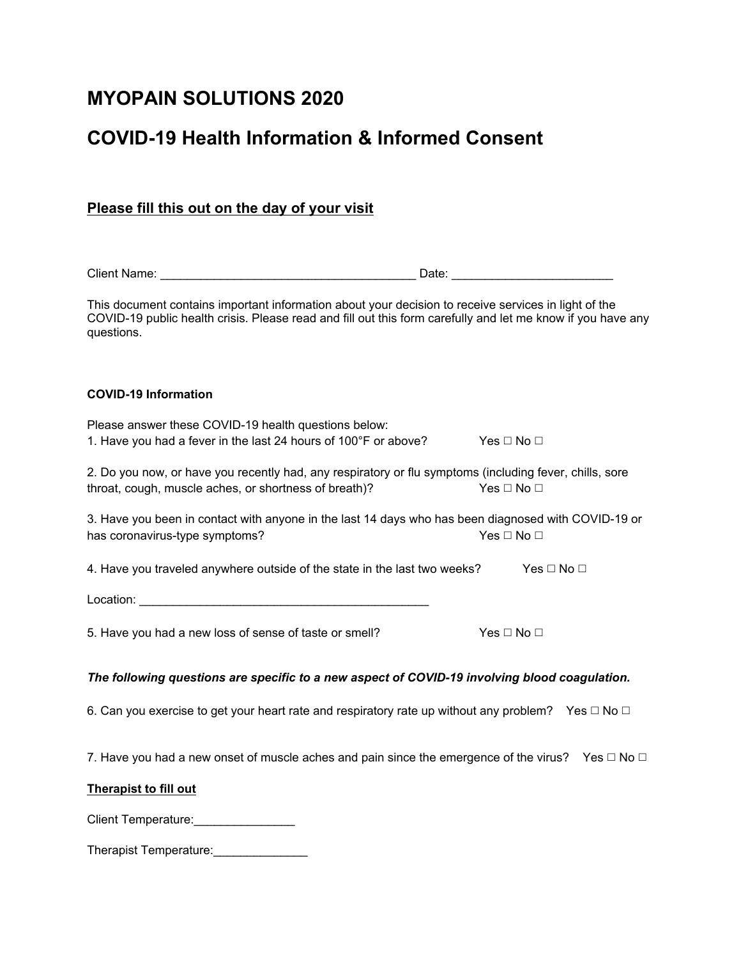## **MYOPAIN SOLUTIONS 2020**

# **COVID-19 Health Information & Informed Consent**

| Please fill this out on the day of your visit |
|-----------------------------------------------|
|-----------------------------------------------|

| <b>Client Name:</b> | -<br>Date |  |
|---------------------|-----------|--|
|                     |           |  |
|                     |           |  |

This document contains important information about your decision to receive services in light of the COVID-19 public health crisis. Please read and fill out this form carefully and let me know if you have any questions.

### **COVID-19 Information**

| Please answer these COVID-19 health questions below:            |                            |
|-----------------------------------------------------------------|----------------------------|
| 1. Have you had a fever in the last 24 hours of 100°F or above? | Yes $\square$ No $\square$ |

| 2. Do you now, or have you recently had, any respiratory or flu symptoms (including fever, chills, sore |                      |
|---------------------------------------------------------------------------------------------------------|----------------------|
| throat, cough, muscle aches, or shortness of breath)?                                                   | Yes $\Box$ No $\Box$ |

3. Have you been in contact with anyone in the last 14 days who has been diagnosed with COVID-19 or has coronavirus-type symptoms?  $\blacksquare$  No  $□$  Yes  $□$  No  $□$ 

4. Have you traveled anywhere outside of the state in the last two weeks? Yes  $\Box$  No  $\Box$ 

Location: \_\_\_\_\_\_\_\_\_\_\_\_\_\_\_\_\_\_\_\_\_\_\_\_\_\_\_\_\_\_\_\_\_\_\_\_\_\_\_\_\_\_\_

5. Have you had a new loss of sense of taste or smell? Yes  $\Box$  No  $\Box$ 

#### *The following questions are specific to a new aspect of COVID-19 involving blood coagulation.*

6. Can you exercise to get your heart rate and respiratory rate up without any problem? Yes  $\Box$  No  $\Box$ 

7. Have you had a new onset of muscle aches and pain since the emergence of the virus? Yes  $\Box$  No  $\Box$ 

#### **Therapist to fill out**

Client Temperature:\_\_\_\_\_\_\_\_\_\_\_\_\_\_\_

Therapist Temperature:\_\_\_\_\_\_\_\_\_\_\_\_\_\_